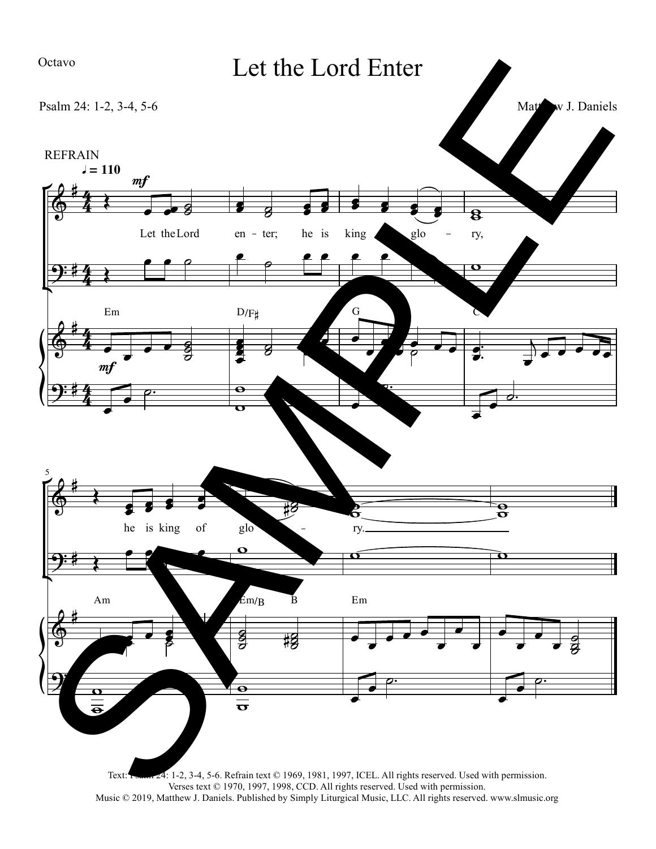## Ma<sub>w</sub> J. Daniels Let the Lord Enter Psalm 24: 1-2, 3-4, 5-6 5  $\frac{12}{12}$  $\frac{1}{2}$  $\frac{1}{\sqrt{2}}$  $\rho$ .  $\bullet$   $\degree$  $\frac{1}{2}$  $\frac{1}{\sqrt{2}}$  $\rho$ .  $\partial \cdot$  $\frac{1}{2}$  $\overline{\phantom{a}}$  $\ddot{\phantom{a}}$  $\blacktriangleright$   $\overline{\mathbf{C}}$  $\theta$  $\frac{1}{2}$  $\frac{1}{2}$  $\overline{\bullet}$  $\overline{\mathbf{e}}$  $\overrightarrow{ }$  $\rho$ .  $\frac{1}{\sqrt{2}}$  $\frac{1}{\sigma}$  $\frac{1}{2}$ **Side**  $\frac{1}{8}$  $\bar{z}$  $\vec{v}$   $\vec{v}$   $\vec{v}$   $\vec{v}$  $\frac{1}{\sqrt{2}}$  $\overline{\phantom{0}}$  $\begin{array}{ccc} \hline \bullet & \bullet & \bullet \\ \hline \end{array}$  $\vec{v}$   $\cdot$  $\overrightarrow{ }$  $\overrightarrow{ }$  $\frac{1}{2}$ .  $\frac{1}{2}$ .  $\frac{1}{2}$  $\mathbf{Z}$  $\frac{1}{2}$  $\frac{1}{2}$ **September 2007**  $\frac{1}{2}$   $\frac{1}{2}$   $\frac{1}{2}$   $\frac{1}{2}$  $\frac{1}{2}$ i d  $\overline{\mathbf{g}}$  $\frac{1}{2}$  $\frac{1}{2}$  8  $\frac{1}{2}$  $\frac{g}{g}$ a<br>a<br>a  $\overrightarrow{z}$  $\overrightarrow{ }$  $\frac{1}{\sqrt{2}}$  $\frac{1}{10}$  $\overline{\mathbf{C}}$   $f$   $f$   $f$   $\overset{\bullet}{\phantom{}}$  $\bullet$   $\rho$  $\frac{\theta}{\sigma}$  $\frac{2}{5}$  $\frac{1}{10}$ À  $\frac{1}{2}$  ,  $\frac{1}{2}$  $\overline{8}$  $\begin{array}{|c|c|c|c|c|}\hline \rule{0pt}{1ex} & \rule{0pt}{1ex} & \rule{0pt}{1ex} & \rule{0pt}{1ex} & \rule{0pt}{1ex} & \rule{0pt}{1ex} & \rule{0pt}{1ex} & \rule{0pt}{1ex} & \rule{0pt}{1ex} & \rule{0pt}{1ex} & \rule{0pt}{1ex} & \rule{0pt}{1ex} & \rule{0pt}{1ex} & \rule{0pt}{1ex} & \rule{0pt}{1ex} & \rule{0pt}{1ex} & \rule{0pt}{1ex} & \rule{0pt}{1ex} & \rule{0pt}{1ex} & \rule{0pt}{1ex} & \$  $\bullet$   $\bullet$  8 8 8 8  $\sim$  $9:14$   $\sim$  $\bigcirc$  $\begin{array}{c} \bullet \end{array}$  $9:1$   $\rightarrow$  $9:14$  $\begin{array}{ccc} \bullet & \bullet & \bullet \end{array}$  $\frac{1}{2}$  $\equiv$  $\frac{1}{2}$  $\sharp$ #<br>#4  $^{\sharp}$  )  $\frac{1}{2}$  $^{\sharp}$  , #<br>#4  $\frac{4}{3}$  $\frac{4}{7}$  $\overline{\mathcal{H}}$  $\overline{\mathcal{L}}$  $\leftarrow$  $\leftarrow$  $\leftarrow$  $\leftarrow$  $m f$  $m f$  $\overline{\phantom{0}}$ he is king of glo - ry. Let the Lord en - ter; he is king glo - ry,  $l = 110$ REFRAIN Am Em/B B Em  $D/F#$  G C  $\frac{1}{\sqrt{1-\frac{1}{\sqrt{1-\frac{1}{\sqrt{1-\frac{1}{\sqrt{1-\frac{1}{\sqrt{1-\frac{1}{\sqrt{1-\frac{1}{\sqrt{1-\frac{1}{\sqrt{1-\frac{1}{\sqrt{1-\frac{1}{\sqrt{1-\frac{1}{\sqrt{1-\frac{1}{\sqrt{1-\frac{1}{\sqrt{1-\frac{1}{\sqrt{1-\frac{1}{\sqrt{1-\frac{1}{\sqrt{1-\frac{1}{\sqrt{1-\frac{1}{\sqrt{1-\frac{1}{\sqrt{1-\frac{1}{\sqrt{1-\frac{1}{\sqrt{1-\frac{1}{\sqrt{1-\frac{1}{\sqrt{1-\frac{1}{\sqrt{1-\frac{1$  $\ddot{\phantom{0}}$  $\frac{1}{\sqrt{2}}$  $\frac{1}{\cdot}$  $\frac{1}{\cdot}$  $\frac{1}{\cdot}$   $72#$  $\begin{picture}(20,20)(-2.0,0) \put(0,0){\line(1,0){10}} \put(15,0){\line(1,0){10}} \put(15,0){\line(1,0){10}} \put(15,0){\line(1,0){10}} \put(15,0){\line(1,0){10}} \put(15,0){\line(1,0){10}} \put(15,0){\line(1,0){10}} \put(15,0){\line(1,0){10}} \put(15,0){\line(1,0){10}} \put(15,0){\line(1,0){10}} \put(15,0){\line(1,0){10}} \put(15$  $7244$  Let the Lord Enter<br>  $\frac{1}{2}$ <br>  $\frac{1}{2}$ <br>  $\frac{1}{2}$ <br>  $\frac{1}{2}$ <br>  $\frac{1}{2}$ <br>  $\frac{1}{2}$ <br>  $\frac{1}{2}$ <br>  $\frac{1}{2}$ <br>  $\frac{1}{2}$ <br>  $\frac{1}{2}$ <br>  $\frac{1}{2}$ <br>  $\frac{1}{2}$ <br>  $\frac{1}{2}$ <br>  $\frac{1}{2}$ <br>  $\frac{1}{2}$ <br>  $\frac{1}{2}$ <br>  $\frac{1}{2}$ <br>  $\frac{1}{2}$ <br>  $\frac$

Text: Psann 24: 1-2, 3-4, 5-6. Refrain text © 1969, 1981, 1997, ICEL. All rights reserved. Used with permission. Verses text © 1970, 1997, 1998, CCD. All rights reserved. Used with permission. Music © 2019, Matthew J. Daniels. Published by Simply Liturgical Music, LLC. All rights reserved. www.slmusic.org

## Octavo